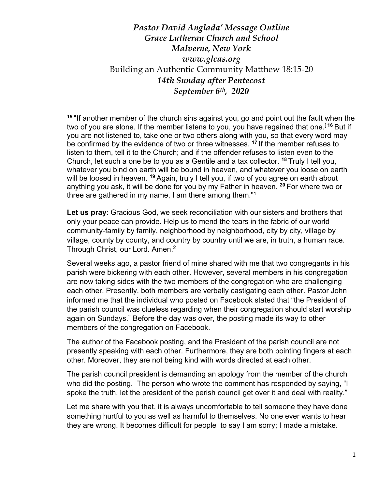## *Pastor David Anglada' Message Outline Grace Lutheran Church and School Malverne, New York www.glcas.org* Building an Authentic Community Matthew 18:15-20 *14th Sunday after Pentecost September 6th, 2020*

**<sup>15</sup>** "If another member of the church sins against you, go and point out the fault when the two of you are alone. If the member listens to you, you have regained that one.<sup>[16</sup> But if you are not listened to, take one or two others along with you, so that every word may be confirmed by the evidence of two or three witnesses. **<sup>17</sup>** If the member refuses to listen to them, tell it to the Church; and if the offender refuses to listen even to the Church, let such a one be to you as a Gentile and a tax collector. **<sup>18</sup>** Truly I tell you, whatever you bind on earth will be bound in heaven, and whatever you loose on earth will be loosed in heaven. **<sup>19</sup>** Again, truly I tell you, if two of you agree on earth about anything you ask, it will be done for you by my Father in heaven. **<sup>20</sup>** For where two or three are gathered in my name, I am there among them."<sup>1</sup>

**Let us pray**: Gracious God, we seek reconciliation with our sisters and brothers that only your peace can provide. Help us to mend the tears in the fabric of our world community-family by family, neighborhood by neighborhood, city by city, village by village, county by county, and country by country until we are, in truth, a human race. Through Christ, our Lord. Amen.<sup>2</sup>

Several weeks ago, a pastor friend of mine shared with me that two congregants in his parish were bickering with each other. However, several members in his congregation are now taking sides with the two members of the congregation who are challenging each other. Presently, both members are verbally castigating each other. Pastor John informed me that the individual who posted on Facebook stated that "the President of the parish council was clueless regarding when their congregation should start worship again on Sundays." Before the day was over, the posting made its way to other members of the congregation on Facebook.

The author of the Facebook posting, and the President of the parish council are not presently speaking with each other. Furthermore, they are both pointing fingers at each other. Moreover, they are not being kind with words directed at each other.

The parish council president is demanding an apology from the member of the church who did the posting. The person who wrote the comment has responded by saying, "I spoke the truth, let the president of the perish council get over it and deal with reality."

Let me share with you that, it is always uncomfortable to tell someone they have done something hurtful to you as well as harmful to themselves. No one ever wants to hear they are wrong. It becomes difficult for people to say I am sorry; I made a mistake.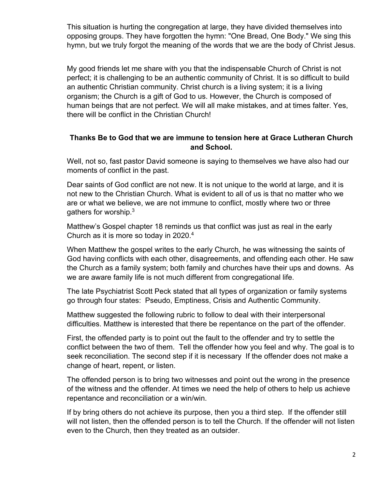This situation is hurting the congregation at large, they have divided themselves into opposing groups. They have forgotten the hymn: "One Bread, One Body." We sing this hymn, but we truly forgot the meaning of the words that we are the body of Christ Jesus.

My good friends let me share with you that the indispensable Church of Christ is not perfect; it is challenging to be an authentic community of Christ. It is so difficult to build an authentic Christian community. Christ church is a living system; it is a living organism; the Church is a gift of God to us. However, the Church is composed of human beings that are not perfect. We will all make mistakes, and at times falter. Yes, there will be conflict in the Christian Church!

## **Thanks Be to God that we are immune to tension here at Grace Lutheran Church and School.**

Well, not so, fast pastor David someone is saying to themselves we have also had our moments of conflict in the past.

Dear saints of God conflict are not new. It is not unique to the world at large, and it is not new to the Christian Church. What is evident to all of us is that no matter who we are or what we believe, we are not immune to conflict, mostly where two or three gathers for worship.3

Matthew's Gospel chapter 18 reminds us that conflict was just as real in the early Church as it is more so today in 2020.4

When Matthew the gospel writes to the early Church, he was witnessing the saints of God having conflicts with each other, disagreements, and offending each other. He saw the Church as a family system; both family and churches have their ups and downs. As we are aware family life is not much different from congregational life.

The late Psychiatrist Scott Peck stated that all types of organization or family systems go through four states: Pseudo, Emptiness, Crisis and Authentic Community.

Matthew suggested the following rubric to follow to deal with their interpersonal difficulties. Matthew is interested that there be repentance on the part of the offender.

First, the offended party is to point out the fault to the offender and try to settle the conflict between the two of them. Tell the offender how you feel and why. The goal is to seek reconciliation. The second step if it is necessary If the offender does not make a change of heart, repent, or listen.

The offended person is to bring two witnesses and point out the wrong in the presence of the witness and the offender. At times we need the help of others to help us achieve repentance and reconciliation or a win/win.

If by bring others do not achieve its purpose, then you a third step. If the offender still will not listen, then the offended person is to tell the Church. If the offender will not listen even to the Church, then they treated as an outsider.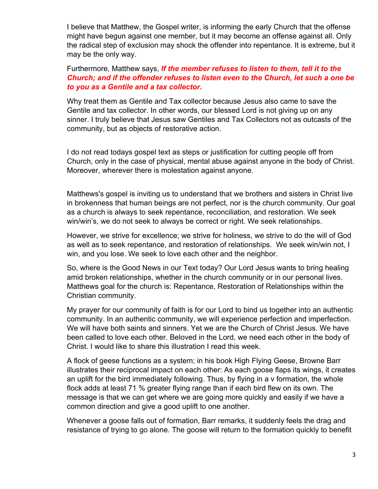I believe that Matthew, the Gospel writer, is informing the early Church that the offense might have begun against one member, but it may become an offense against all. Only the radical step of exclusion may shock the offender into repentance. It is extreme, but it may be the only way.

## Furthermore, Matthew says, *If the member refuses to listen to them, tell it to the Church; and if the offender refuses to listen even to the Church, let such a one be to you as a Gentile and a tax collector.*

Why treat them as Gentile and Tax collector because Jesus also came to save the Gentile and tax collector. In other words, our blessed Lord is not giving up on any sinner. I truly believe that Jesus saw Gentiles and Tax Collectors not as outcasts of the community, but as objects of restorative action.

I do not read todays gospel text as steps or justification for cutting people off from Church, only in the case of physical, mental abuse against anyone in the body of Christ. Moreover, wherever there is molestation against anyone.

Matthews's gospel is inviting us to understand that we brothers and sisters in Christ live in brokenness that human beings are not perfect, nor is the church community. Our goal as a church is always to seek repentance, reconciliation, and restoration. We seek win/win's, we do not seek to always be correct or right. We seek relationships.

However, we strive for excellence; we strive for holiness, we strive to do the will of God as well as to seek repentance, and restoration of relationships. We seek win/win not, I win, and you lose. We seek to love each other and the neighbor.

So, where is the Good News in our Text today? Our Lord Jesus wants to bring healing amid broken relationships, whether in the church community or in our personal lives. Matthews goal for the church is: Repentance, Restoration of Relationships within the Christian community.

My prayer for our community of faith is for our Lord to bind us together into an authentic community. In an authentic community, we will experience perfection and imperfection. We will have both saints and sinners. Yet we are the Church of Christ Jesus. We have been called to love each other. Beloved in the Lord, we need each other in the body of Christ. I would like to share this illustration I read this week.

A flock of geese functions as a system; in his book High Flying Geese, Browne Barr illustrates their reciprocal impact on each other: As each goose flaps its wings, it creates an uplift for the bird immediately following. Thus, by flying in a v formation, the whole flock adds at least 71 % greater flying range than if each bird flew on its own. The message is that we can get where we are going more quickly and easily if we have a common direction and give a good uplift to one another.

Whenever a goose falls out of formation, Barr remarks, it suddenly feels the drag and resistance of trying to go alone. The goose will return to the formation quickly to benefit